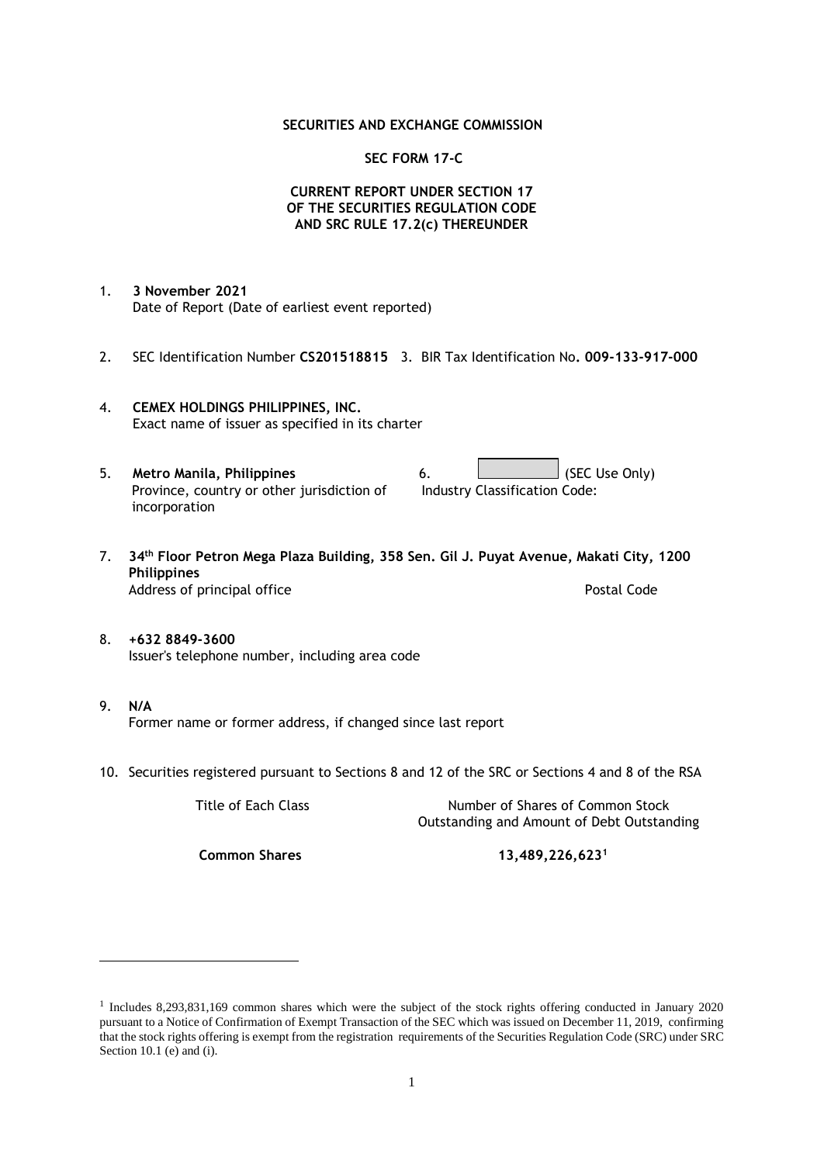### **SECURITIES AND EXCHANGE COMMISSION**

### **SEC FORM 17-C**

## **CURRENT REPORT UNDER SECTION 17 OF THE SECURITIES REGULATION CODE AND SRC RULE 17.2(c) THEREUNDER**

- 1. **3 November 2021** Date of Report (Date of earliest event reported)
- 2. SEC Identification Number **CS201518815** 3. BIR Tax Identification No**. 009-133-917-000**
- 4. **CEMEX HOLDINGS PHILIPPINES, INC.** Exact name of issuer as specified in its charter
- 5. **Metro Manila, Philippines** 6. **Consumers 6.** (SEC Use Only) Province, country or other jurisdiction of incorporation Industry Classification Code:
- 7. **34th Floor Petron Mega Plaza Building, 358 Sen. Gil J. Puyat Avenue, Makati City, 1200 Philippines** Address of principal office **Postal Code** Postal Code
- 8. **+632 8849-3600** Issuer's telephone number, including area code
- 9. **N/A** Former name or former address, if changed since last report
- 10. Securities registered pursuant to Sections 8 and 12 of the SRC or Sections 4 and 8 of the RSA

Title of Each Class Number of Shares of Common Stock Outstanding and Amount of Debt Outstanding

**Common Shares 13,489,226,623<sup>1</sup>**

<sup>1</sup> Includes 8,293,831,169 common shares which were the subject of the stock rights offering conducted in January 2020 pursuant to a Notice of Confirmation of Exempt Transaction of the SEC which was issued on December 11, 2019, confirming that the stock rights offering is exempt from the registration requirements of the Securities Regulation Code (SRC) under SRC Section 10.1 (e) and (i).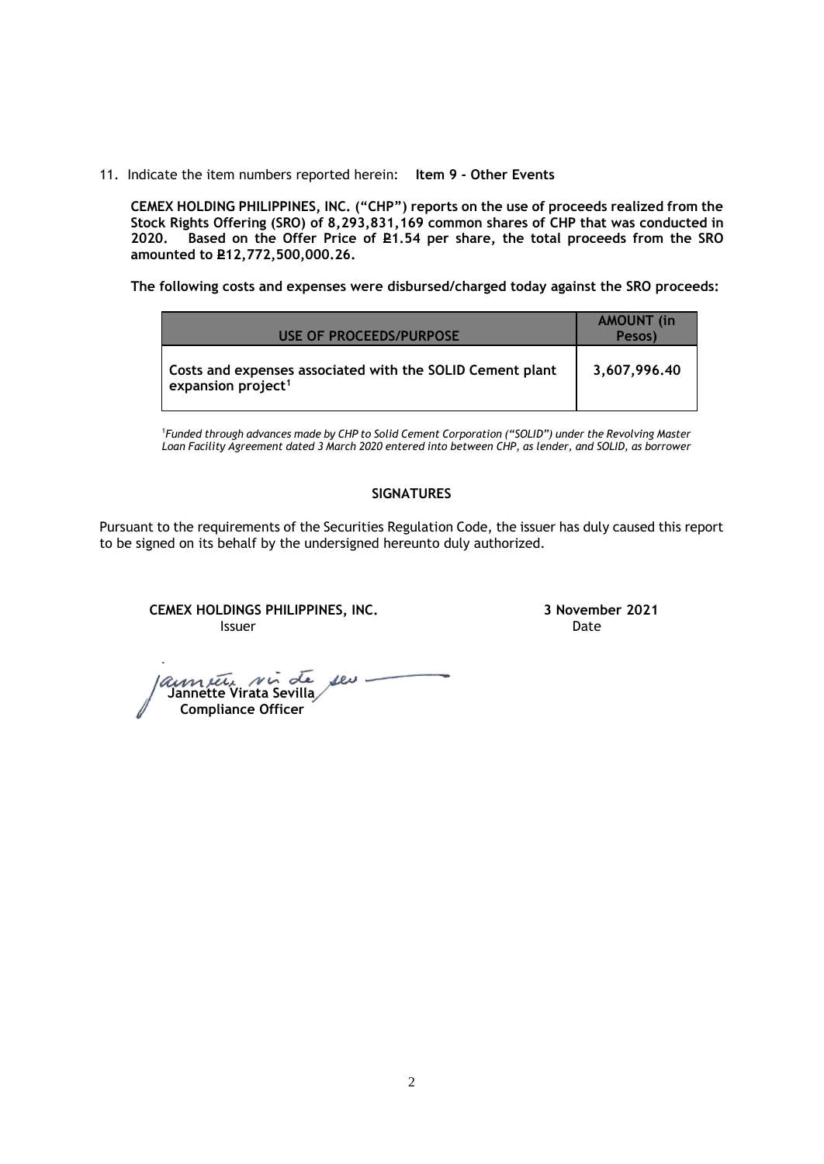11. Indicate the item numbers reported herein: **Item 9 - Other Events**

**CEMEX HOLDING PHILIPPINES, INC. ("CHP") reports on the use of proceeds realized from the Stock Rights Offering (SRO) of 8,293,831,169 common shares of CHP that was conducted in**  Based on the Offer Price of £1.54 per share, the total proceeds from the SRO **amounted to P12,772,500,000.26.** 

**The following costs and expenses were disbursed/charged today against the SRO proceeds:**

| USE OF PROCEEDS/PURPOSE                                                                     | <b>AMOUNT</b> (in<br>Pesos) |
|---------------------------------------------------------------------------------------------|-----------------------------|
| Costs and expenses associated with the SOLID Cement plant<br>expansion project <sup>1</sup> | 3,607,996.40                |

<sup>1</sup>*Funded through advances made by CHP to Solid Cement Corporation ("SOLID") under the Revolving Master Loan Facility Agreement dated 3 March 2020 entered into between CHP, as lender, and SOLID, as borrower*

## **SIGNATURES**

Pursuant to the requirements of the Securities Regulation Code, the issuer has duly caused this report to be signed on its behalf by the undersigned hereunto duly authorized.

**CEMEX HOLDINGS PHILIPPINES, INC. 3 November 2021 Issuer Date of the Community of the Community Community Community Community Community Community Community Community** 

*aumetic ni* de seu-<br>Jannette Virata Sevilla  **Compliance Officer**